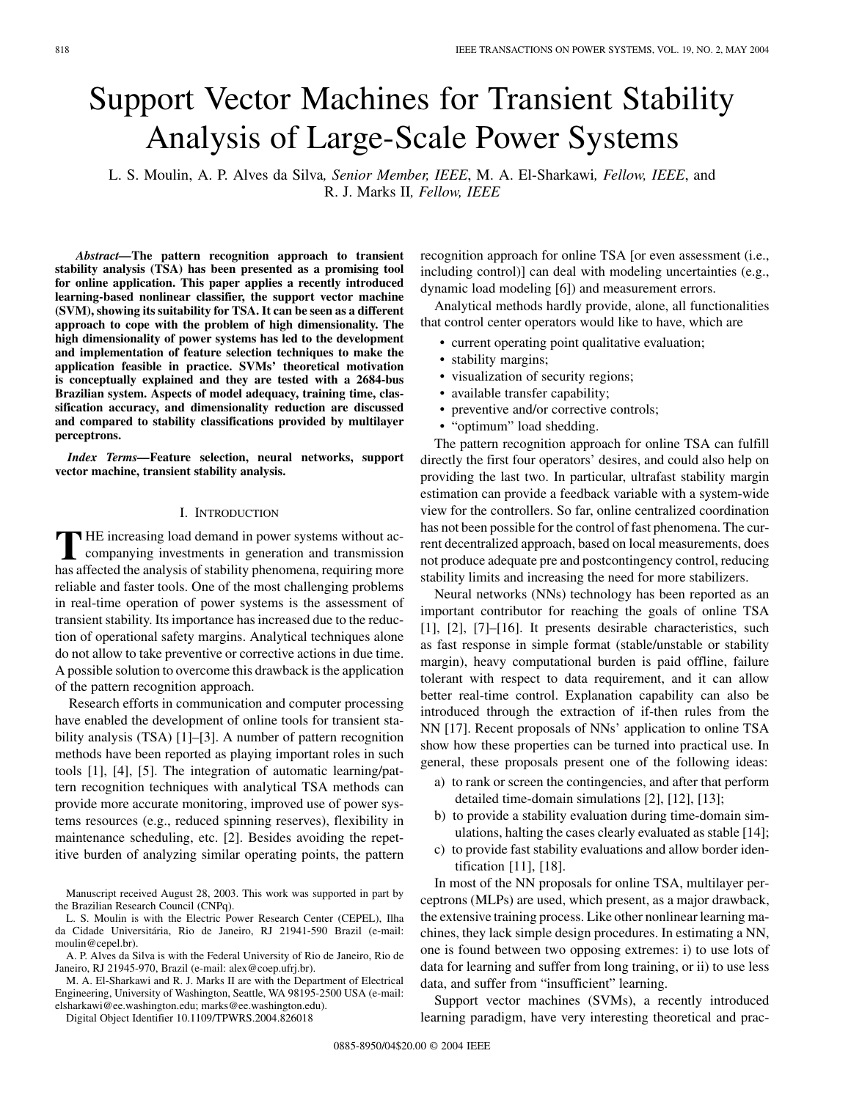# Support Vector Machines for Transient Stability Analysis of Large-Scale Power Systems

L. S. Moulin, A. P. Alves da Silva*, Senior Member, IEEE*, M. A. El-Sharkawi*, Fellow, IEEE*, and R. J. Marks II*, Fellow, IEEE*

*Abstract—***The pattern recognition approach to transient stability analysis (TSA) has been presented as a promising tool for online application. This paper applies a recently introduced learning-based nonlinear classifier, the support vector machine (SVM), showing its suitability for TSA. It can be seen as a different approach to cope with the problem of high dimensionality. The high dimensionality of power systems has led to the development and implementation of feature selection techniques to make the application feasible in practice. SVMs' theoretical motivation is conceptually explained and they are tested with a 2684-bus Brazilian system. Aspects of model adequacy, training time, classification accuracy, and dimensionality reduction are discussed and compared to stability classifications provided by multilayer perceptrons.**

*Index Terms—***Feature selection, neural networks, support vector machine, transient stability analysis.**

# I. INTRODUCTION

**T** HE increasing load demand in power systems without accompanying investments in generation and transmission has affected the analysis of stability phenomena, requiring more reliable and faster tools. One of the most challenging problems in real-time operation of power systems is the assessment of transient stability. Its importance has increased due to the reduction of operational safety margins. Analytical techniques alone do not allow to take preventive or corrective actions in due time. A possible solution to overcome this drawback is the application of the pattern recognition approach.

Research efforts in communication and computer processing have enabled the development of online tools for transient stability analysis (TSA) [\[1](#page-6-0)]–[[3\]](#page-6-0). A number of pattern recognition methods have been reported as playing important roles in such tools [\[1](#page-6-0)], [\[4](#page-6-0)], [[5\]](#page-6-0). The integration of automatic learning/pattern recognition techniques with analytical TSA methods can provide more accurate monitoring, improved use of power systems resources (e.g., reduced spinning reserves), flexibility in maintenance scheduling, etc. [\[2](#page-6-0)]. Besides avoiding the repetitive burden of analyzing similar operating points, the pattern

Manuscript received August 28, 2003. This work was supported in part by the Brazilian Research Council (CNPq).

L. S. Moulin is with the Electric Power Research Center (CEPEL), Ilha da Cidade Universitária, Rio de Janeiro, RJ 21941-590 Brazil (e-mail: moulin@cepel.br).

A. P. Alves da Silva is with the Federal University of Rio de Janeiro, Rio de Janeiro, RJ 21945-970, Brazil (e-mail: alex@coep.ufrj.br).

M. A. El-Sharkawi and R. J. Marks II are with the Department of Electrical Engineering, University of Washington, Seattle, WA 98195-2500 USA (e-mail: elsharkawi@ee.washington.edu; marks@ee.washington.edu).

Digital Object Identifier 10.1109/TPWRS.2004.826018

recognition approach for online TSA [or even assessment (i.e., including control)] can deal with modeling uncertainties (e.g., dynamic load modeling [[6\]](#page-6-0)) and measurement errors.

Analytical methods hardly provide, alone, all functionalities that control center operators would like to have, which are

- current operating point qualitative evaluation;
- stability margins;
- visualization of security regions;
- available transfer capability;
- preventive and/or corrective controls;
- "optimum" load shedding.

The pattern recognition approach for online TSA can fulfill directly the first four operators' desires, and could also help on providing the last two. In particular, ultrafast stability margin estimation can provide a feedback variable with a system-wide view for the controllers. So far, online centralized coordination has not been possible for the control of fast phenomena. The current decentralized approach, based on local measurements, does not produce adequate pre and postcontingency control, reducing stability limits and increasing the need for more stabilizers.

Neural networks (NNs) technology has been reported as an important contributor for reaching the goals of online TSA [[1\]](#page-6-0), [\[2](#page-6-0)], [\[7](#page-6-0)]–[[16\]](#page-7-0). It presents desirable characteristics, such as fast response in simple format (stable/unstable or stability margin), heavy computational burden is paid offline, failure tolerant with respect to data requirement, and it can allow better real-time control. Explanation capability can also be introduced through the extraction of if-then rules from the NN [\[17](#page-7-0)]. Recent proposals of NNs' application to online TSA show how these properties can be turned into practical use. In general, these proposals present one of the following ideas:

- a) to rank or screen the contingencies, and after that perform detailed time-domain simulations [[2\]](#page-6-0), [[12\]](#page-6-0), [\[13](#page-6-0)];
- b) to provide a stability evaluation during time-domain simulations, halting the cases clearly evaluated as stable [[14\]](#page-7-0);
- c) to provide fast stability evaluations and allow border identification [\[11](#page-6-0)], [[18](#page-7-0)].

In most of the NN proposals for online TSA, multilayer perceptrons (MLPs) are used, which present, as a major drawback, the extensive training process. Like other nonlinear learning machines, they lack simple design procedures. In estimating a NN, one is found between two opposing extremes: i) to use lots of data for learning and suffer from long training, or ii) to use less data, and suffer from "insufficient" learning.

Support vector machines (SVMs), a recently introduced learning paradigm, have very interesting theoretical and prac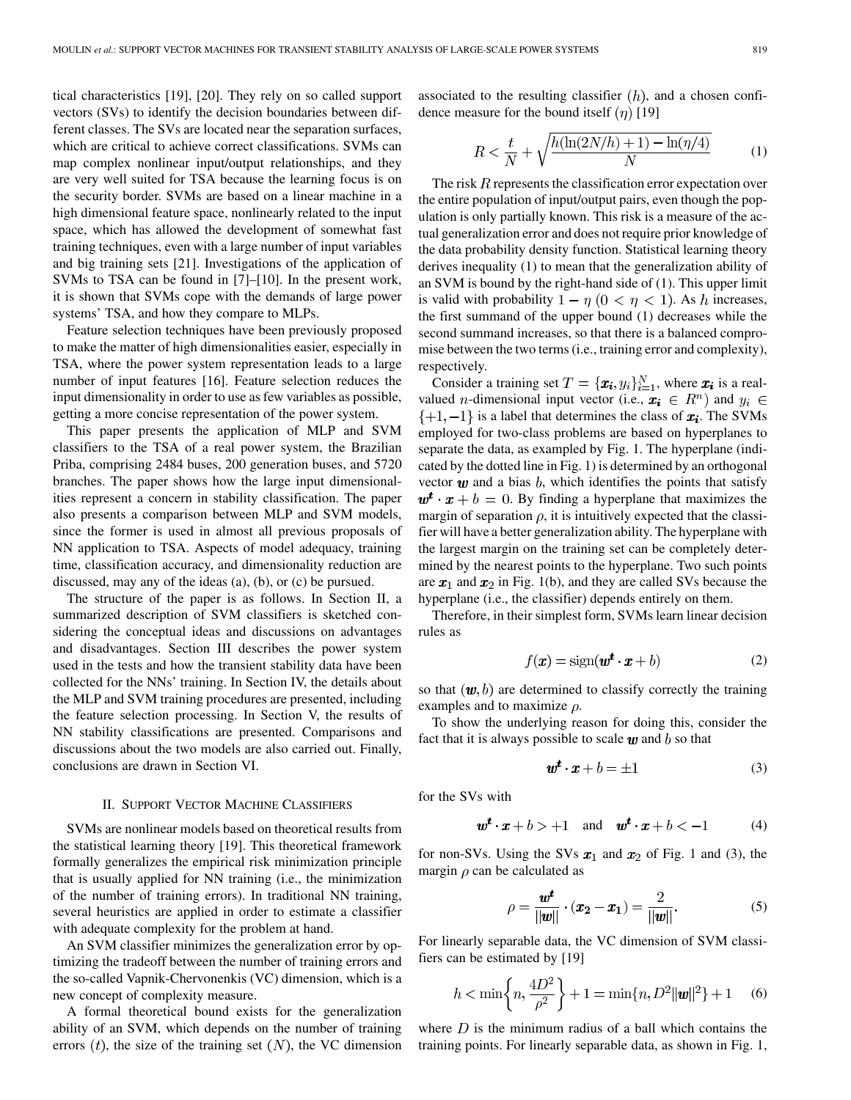tical characteristics [\[19](#page-7-0)], [[20\]](#page-7-0). They rely on so called support vectors (SVs) to identify the decision boundaries between different classes. The SVs are located near the separation surfaces, which are critical to achieve correct classifications. SVMs can map complex nonlinear input/output relationships, and they are very well suited for TSA because the learning focus is on the security border. SVMs are based on a linear machine in a high dimensional feature space, nonlinearly related to the input space, which has allowed the development of somewhat fast training techniques, even with a large number of input variables and big training sets [\[21](#page-7-0)]. Investigations of the application of SVMs to TSA can be found in [\[7](#page-6-0)]–[[10\]](#page-6-0). In the present work, it is shown that SVMs cope with the demands of large power systems' TSA, and how they compare to MLPs.

Feature selection techniques have been previously proposed to make the matter of high dimensionalities easier, especially in TSA, where the power system representation leads to a large number of input features [[16\]](#page-7-0). Feature selection reduces the input dimensionality in order to use as few variables as possible, getting a more concise representation of the power system.

This paper presents the application of MLP and SVM classifiers to the TSA of a real power system, the Brazilian Priba, comprising 2484 buses, 200 generation buses, and 5720 branches. The paper shows how the large input dimensionalities represent a concern in stability classification. The paper also presents a comparison between MLP and SVM models, since the former is used in almost all previous proposals of NN application to TSA. Aspects of model adequacy, training time, classification accuracy, and dimensionality reduction are discussed, may any of the ideas (a), (b), or (c) be pursued.

The structure of the paper is as follows. In Section II, a summarized description of SVM classifiers is sketched considering the conceptual ideas and discussions on advantages and disadvantages. Section III describes the power system used in the tests and how the transient stability data have been collected for the NNs' training. In Section IV, the details about the MLP and SVM training procedures are presented, including the feature selection processing. In Section V, the results of NN stability classifications are presented. Comparisons and discussions about the two models are also carried out. Finally, conclusions are drawn in Section VI.

#### II. SUPPORT VECTOR MACHINE CLASSIFIERS

SVMs are nonlinear models based on theoretical results from the statistical learning theory [\[19](#page-7-0)]. This theoretical framework formally generalizes the empirical risk minimization principle that is usually applied for NN training (i.e., the minimization of the number of training errors). In traditional NN training, several heuristics are applied in order to estimate a classifier with adequate complexity for the problem at hand.

An SVM classifier minimizes the generalization error by optimizing the tradeoff between the number of training errors and the so-called Vapnik-Chervonenkis (VC) dimension, which is a new concept of complexity measure.

A formal theoretical bound exists for the generalization ability of an SVM, which depends on the number of training errors  $(t)$ , the size of the training set  $(N)$ , the VC dimension associated to the resulting classifier  $(h)$ , and a chosen confidence measure for the bound itself  $(\eta)$  [\[19](#page-7-0)]

$$
R < \frac{t}{N} + \sqrt{\frac{h(\ln(2N/h) + 1) - \ln(\eta/4)}{N}} \tag{1}
$$

The risk  $R$  represents the classification error expectation over the entire population of input/output pairs, even though the population is only partially known. This risk is a measure of the actual generalization error and does not require prior knowledge of the data probability density function. Statistical learning theory derives inequality (1) to mean that the generalization ability of an SVM is bound by the right-hand side of (1). This upper limit is valid with probability  $1 - \eta$  ( $0 < \eta < 1$ ). As h increases, the first summand of the upper bound (1) decreases while the second summand increases, so that there is a balanced compromise between the two terms (i.e., training error and complexity), respectively.

Consider a training set  $T = {\{\boldsymbol{x_i}, y_i\}}_{i=1}^N$ , where  $\boldsymbol{x_i}$  is a realvalued *n*-dimensional input vector (i.e.,  $x_i \in R^n$ ) and  $y_i \in R$  $\{+1,-1\}$  is a label that determines the class of  $x_i$ . The SVMs employed for two-class problems are based on hyperplanes to separate the data, as exampled by Fig. 1. The hyperplane (indicated by the dotted line in Fig. 1) is determined by an orthogonal vector  $\boldsymbol{w}$  and a bias  $\boldsymbol{b}$ , which identifies the points that satisfy  $\mathbf{w}^t \cdot \mathbf{x} + b = 0$ . By finding a hyperplane that maximizes the margin of separation  $\rho$ , it is intuitively expected that the classifier will have a better generalization ability. The hyperplane with the largest margin on the training set can be completely determined by the nearest points to the hyperplane. Two such points are  $x_1$  and  $x_2$  in Fig. 1(b), and they are called SVs because the hyperplane (i.e., the classifier) depends entirely on them.

Therefore, in their simplest form, SVMs learn linear decision rules as

$$
f(\mathbf{x}) = \text{sign}(\mathbf{w}^t \cdot \mathbf{x} + b) \tag{2}
$$

so that  $(w, b)$  are determined to classify correctly the training examples and to maximize  $\rho$ .

To show the underlying reason for doing this, consider the fact that it is always possible to scale  $w$  and  $b$  so that

$$
\mathbf{w}^t \cdot \mathbf{x} + b = \pm 1 \tag{3}
$$

for the SVs with

$$
\mathbf{w}^t \cdot \mathbf{x} + b > +1 \quad \text{and} \quad \mathbf{w}^t \cdot \mathbf{x} + b < -1 \tag{4}
$$

for non-SVs. Using the SVs  $x_1$  and  $x_2$  of Fig. 1 and (3), the margin  $\rho$  can be calculated as

$$
\rho = \frac{w^t}{||w||} \cdot (x_2 - x_1) = \frac{2}{||w||}.
$$
 (5)

For linearly separable data, the VC dimension of SVM classifiers can be estimated by [\[19](#page-7-0)]

$$
h < \min\left\{n, \frac{4D^2}{\rho^2}\right\} + 1 = \min\{n, D^2 ||w||^2\} + 1 \quad (6)
$$

where  $D$  is the minimum radius of a ball which contains the training points. For linearly separable data, as shown in Fig. 1,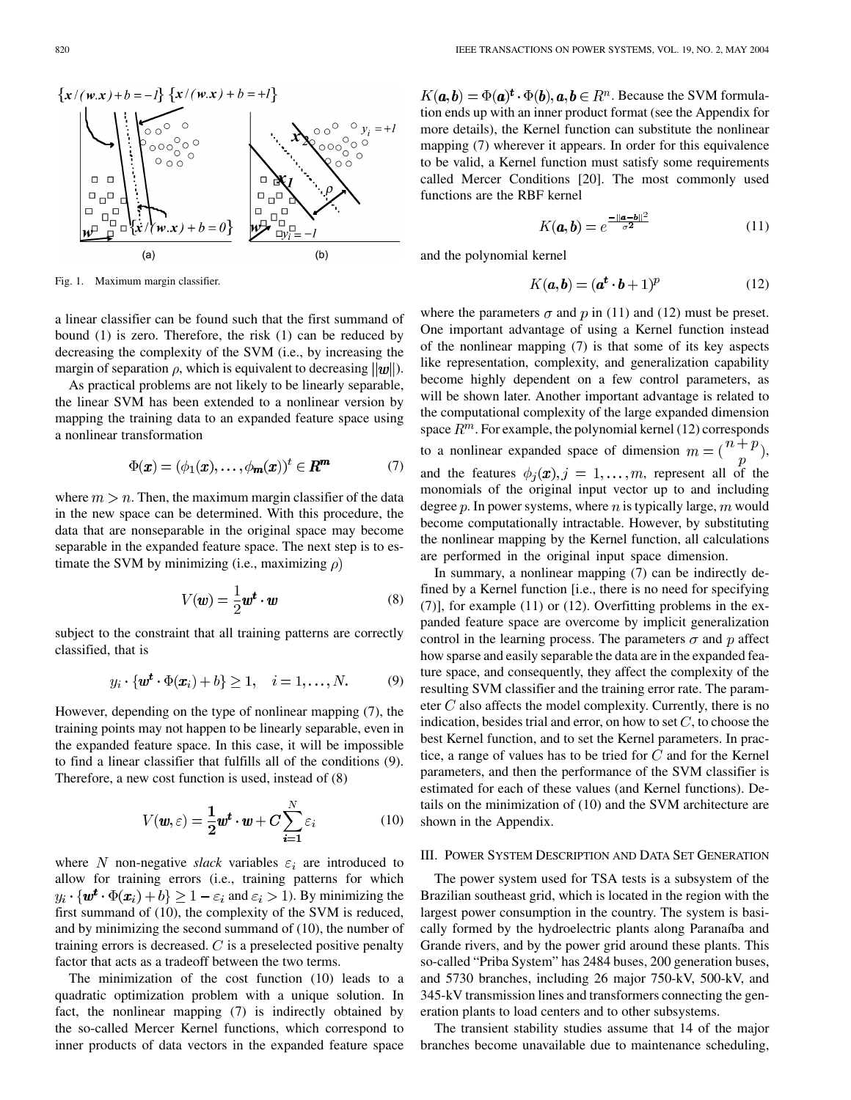

Fig. 1. Maximum margin classifier.

a linear classifier can be found such that the first summand of bound (1) is zero. Therefore, the risk (1) can be reduced by decreasing the complexity of the SVM (i.e., by increasing the margin of separation  $\rho$ , which is equivalent to decreasing  $||w||$ .

As practical problems are not likely to be linearly separable, the linear SVM has been extended to a nonlinear version by mapping the training data to an expanded feature space using a nonlinear transformation

$$
\Phi(\mathbf{x}) = (\phi_1(\mathbf{x}), \dots, \phi_m(\mathbf{x}))^t \in \mathbf{R}^m \tag{7}
$$

where  $m > n$ . Then, the maximum margin classifier of the data in the new space can be determined. With this procedure, the data that are nonseparable in the original space may become separable in the expanded feature space. The next step is to estimate the SVM by minimizing (i.e., maximizing  $\rho$ )

$$
V(\mathbf{w}) = \frac{1}{2}\mathbf{w}^t \cdot \mathbf{w} \tag{8}
$$

subject to the constraint that all training patterns are correctly classified, that is

$$
y_i \cdot \{\boldsymbol{w}^t \cdot \Phi(\boldsymbol{x}_i) + b\} \ge 1, \quad i = 1, \dots, N. \tag{9}
$$

However, depending on the type of nonlinear mapping (7), the training points may not happen to be linearly separable, even in the expanded feature space. In this case, it will be impossible to find a linear classifier that fulfills all of the conditions (9). Therefore, a new cost function is used, instead of (8)

$$
V(\boldsymbol{w}, \varepsilon) = \frac{1}{2} \boldsymbol{w}^t \cdot \boldsymbol{w} + \boldsymbol{C} \sum_{i=1}^N \varepsilon_i
$$
 (10)

where N non-negative *slack* variables  $\varepsilon_i$  are introduced to allow for training errors (i.e., training patterns for which  $y_i \cdot \{w^t \cdot \Phi(x_i) + b\} \geq 1 - \varepsilon_i$  and  $\varepsilon_i > 1$ ). By minimizing the first summand of (10), the complexity of the SVM is reduced, and by minimizing the second summand of (10), the number of training errors is decreased.  $C$  is a preselected positive penalty factor that acts as a tradeoff between the two terms.

The minimization of the cost function (10) leads to a quadratic optimization problem with a unique solution. In fact, the nonlinear mapping (7) is indirectly obtained by the so-called Mercer Kernel functions, which correspond to inner products of data vectors in the expanded feature space

 $K(a, b) = \Phi(a)^t \cdot \Phi(b), a, b \in \mathbb{R}^n$ . Because the SVM formulation ends up with an inner product format (see the Appendix for more details), the Kernel function can substitute the nonlinear mapping (7) wherever it appears. In order for this equivalence to be valid, a Kernel function must satisfy some requirements called Mercer Conditions [\[20](#page-7-0)]. The most commonly used functions are the RBF kernel

$$
K(\mathbf{a}, \mathbf{b}) = e^{\frac{-\|\mathbf{a} - \mathbf{b}\|^2}{\sigma^2}}
$$
(11)

and the polynomial kernel

$$
K(a,b) = (at \cdot b + 1)p
$$
 (12)

where the parameters  $\sigma$  and  $p$  in (11) and (12) must be preset. One important advantage of using a Kernel function instead of the nonlinear mapping (7) is that some of its key aspects like representation, complexity, and generalization capability become highly dependent on a few control parameters, as will be shown later. Another important advantage is related to the computational complexity of the large expanded dimension space  $R^m$ . For example, the polynomial kernel (12) corresponds to a nonlinear expanded space of dimension  $m = \begin{pmatrix} n+p \\ n \end{pmatrix}$ , and the features  $\phi_j(x), j = 1, \ldots, m$ , represent all of the monomials of the original input vector up to and including degree  $p$ . In power systems, where  $n$  is typically large,  $m$  would become computationally intractable. However, by substituting the nonlinear mapping by the Kernel function, all calculations are performed in the original input space dimension.

In summary, a nonlinear mapping (7) can be indirectly defined by a Kernel function [i.e., there is no need for specifying (7)], for example (11) or (12). Overfitting problems in the expanded feature space are overcome by implicit generalization control in the learning process. The parameters  $\sigma$  and  $p$  affect how sparse and easily separable the data are in the expanded feature space, and consequently, they affect the complexity of the resulting SVM classifier and the training error rate. The parameter  $C$  also affects the model complexity. Currently, there is no indication, besides trial and error, on how to set  $C$ , to choose the best Kernel function, and to set the Kernel parameters. In practice, a range of values has to be tried for  $C$  and for the Kernel parameters, and then the performance of the SVM classifier is estimated for each of these values (and Kernel functions). Details on the minimization of (10) and the SVM architecture are shown in the Appendix.

# III. POWER SYSTEM DESCRIPTION AND DATA SET GENERATION

The power system used for TSA tests is a subsystem of the Brazilian southeast grid, which is located in the region with the largest power consumption in the country. The system is basically formed by the hydroelectric plants along Paranaíba and Grande rivers, and by the power grid around these plants. This so-called "Priba System" has 2484 buses, 200 generation buses, and 5730 branches, including 26 major 750-kV, 500-kV, and 345-kV transmission lines and transformers connecting the generation plants to load centers and to other subsystems.

The transient stability studies assume that 14 of the major branches become unavailable due to maintenance scheduling,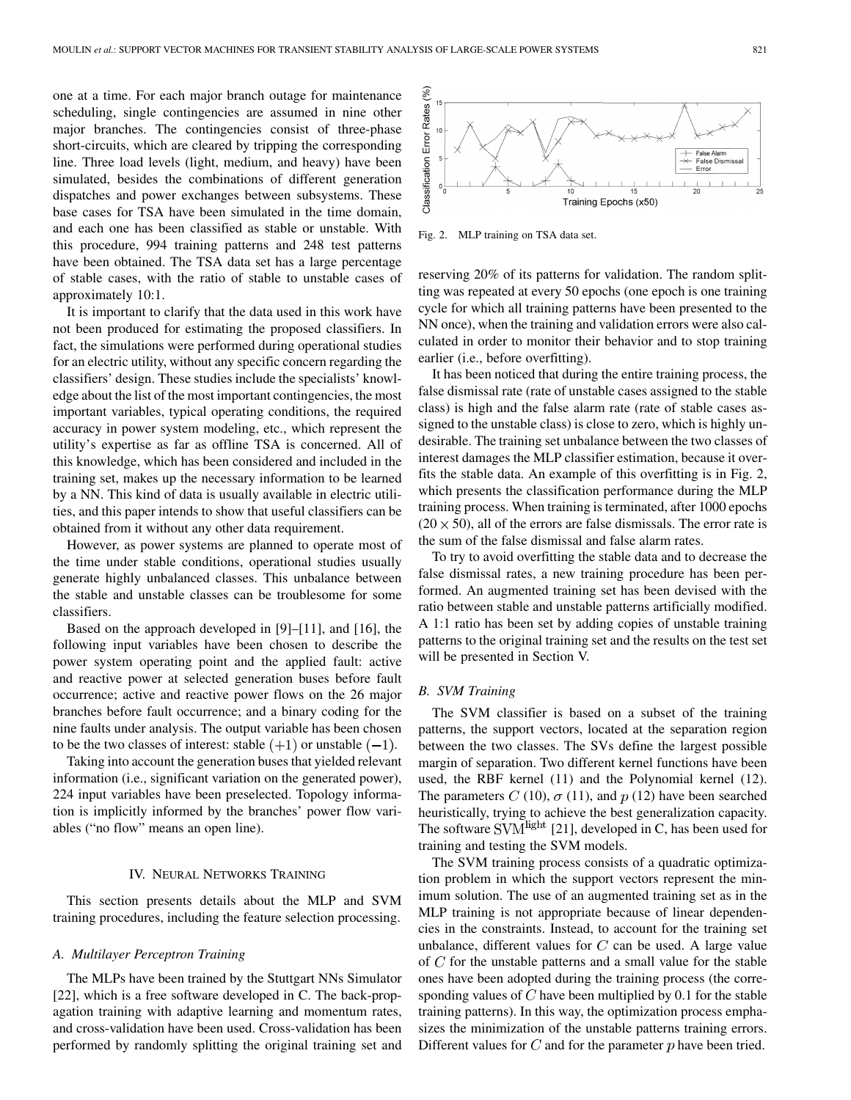one at a time. For each major branch outage for maintenance scheduling, single contingencies are assumed in nine other major branches. The contingencies consist of three-phase short-circuits, which are cleared by tripping the corresponding line. Three load levels (light, medium, and heavy) have been simulated, besides the combinations of different generation dispatches and power exchanges between subsystems. These base cases for TSA have been simulated in the time domain, and each one has been classified as stable or unstable. With this procedure, 994 training patterns and 248 test patterns have been obtained. The TSA data set has a large percentage of stable cases, with the ratio of stable to unstable cases of approximately 10:1.

It is important to clarify that the data used in this work have not been produced for estimating the proposed classifiers. In fact, the simulations were performed during operational studies for an electric utility, without any specific concern regarding the classifiers' design. These studies include the specialists' knowledge about the list of the most important contingencies, the most important variables, typical operating conditions, the required accuracy in power system modeling, etc., which represent the utility's expertise as far as offline TSA is concerned. All of this knowledge, which has been considered and included in the training set, makes up the necessary information to be learned by a NN. This kind of data is usually available in electric utilities, and this paper intends to show that useful classifiers can be obtained from it without any other data requirement.

However, as power systems are planned to operate most of the time under stable conditions, operational studies usually generate highly unbalanced classes. This unbalance between the stable and unstable classes can be troublesome for some classifiers.

Based on the approach developed in [[9\]](#page-6-0)–[\[11](#page-6-0)], and [\[16](#page-7-0)], the following input variables have been chosen to describe the power system operating point and the applied fault: active and reactive power at selected generation buses before fault occurrence; active and reactive power flows on the 26 major branches before fault occurrence; and a binary coding for the nine faults under analysis. The output variable has been chosen to be the two classes of interest: stable  $(+1)$  or unstable  $(-1)$ .

Taking into account the generation buses that yielded relevant information (i.e., significant variation on the generated power), 224 input variables have been preselected. Topology information is implicitly informed by the branches' power flow variables ("no flow" means an open line).

## IV. NEURAL NETWORKS TRAINING

This section presents details about the MLP and SVM training procedures, including the feature selection processing.

### *A. Multilayer Perceptron Training*

The MLPs have been trained by the Stuttgart NNs Simulator [\[22](#page-7-0)], which is a free software developed in C. The back-propagation training with adaptive learning and momentum rates, and cross-validation have been used. Cross-validation has been performed by randomly splitting the original training set and



Fig. 2. MLP training on TSA data set.

reserving 20% of its patterns for validation. The random splitting was repeated at every 50 epochs (one epoch is one training cycle for which all training patterns have been presented to the NN once), when the training and validation errors were also calculated in order to monitor their behavior and to stop training earlier (i.e., before overfitting).

It has been noticed that during the entire training process, the false dismissal rate (rate of unstable cases assigned to the stable class) is high and the false alarm rate (rate of stable cases assigned to the unstable class) is close to zero, which is highly undesirable. The training set unbalance between the two classes of interest damages the MLP classifier estimation, because it overfits the stable data. An example of this overfitting is in Fig. 2, which presents the classification performance during the MLP training process. When training is terminated, after 1000 epochs  $(20 \times 50)$ , all of the errors are false dismissals. The error rate is the sum of the false dismissal and false alarm rates.

To try to avoid overfitting the stable data and to decrease the false dismissal rates, a new training procedure has been performed. An augmented training set has been devised with the ratio between stable and unstable patterns artificially modified. A 1:1 ratio has been set by adding copies of unstable training patterns to the original training set and the results on the test set will be presented in Section V.

## *B. SVM Training*

The SVM classifier is based on a subset of the training patterns, the support vectors, located at the separation region between the two classes. The SVs define the largest possible margin of separation. Two different kernel functions have been used, the RBF kernel (11) and the Polynomial kernel (12). The parameters C (10),  $\sigma$  (11), and p (12) have been searched heuristically, trying to achieve the best generalization capacity. The software  $SVM$ <sup>light</sup> [[21\]](#page-7-0), developed in C, has been used for training and testing the SVM models.

The SVM training process consists of a quadratic optimization problem in which the support vectors represent the minimum solution. The use of an augmented training set as in the MLP training is not appropriate because of linear dependencies in the constraints. Instead, to account for the training set unbalance, different values for  $C$  can be used. A large value of  $C$  for the unstable patterns and a small value for the stable ones have been adopted during the training process (the corresponding values of  $C$  have been multiplied by 0.1 for the stable training patterns). In this way, the optimization process emphasizes the minimization of the unstable patterns training errors. Different values for  $C$  and for the parameter  $p$  have been tried.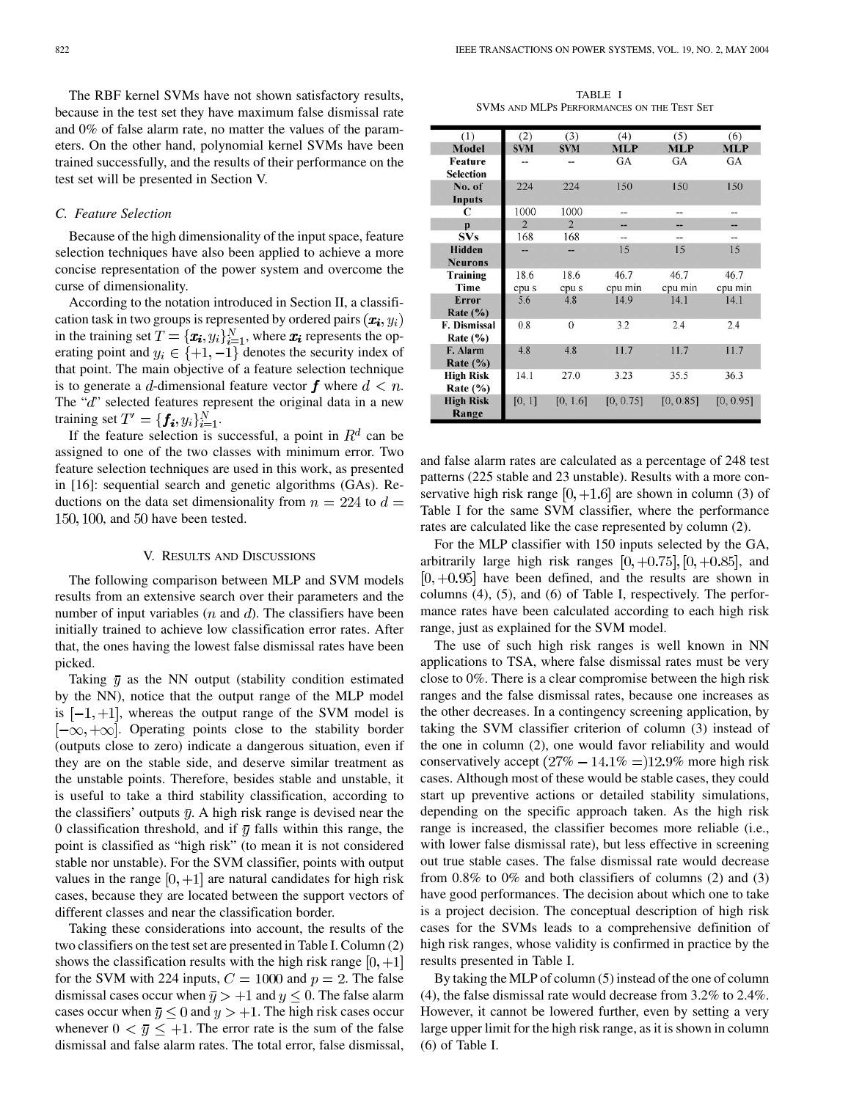The RBF kernel SVMs have not shown satisfactory results, because in the test set they have maximum false dismissal rate and 0% of false alarm rate, no matter the values of the parameters. On the other hand, polynomial kernel SVMs have been trained successfully, and the results of their performance on the test set will be presented in Section V.

# *C. Feature Selection*

Because of the high dimensionality of the input space, feature selection techniques have also been applied to achieve a more concise representation of the power system and overcome the curse of dimensionality.

According to the notation introduced in Section II, a classification task in two groups is represented by ordered pairs  $(x_i, y_i)$ in the training set  $T = {\{\boldsymbol{x_i}, y_i\}}_{i=1}^N$ , where  $\boldsymbol{x_i}$  represents the operating point and  $y_i \in \{+1, -1\}$  denotes the security index of that point. The main objective of a feature selection technique is to generate a d-dimensional feature vector f where  $d < n$ . The " $d$ " selected features represent the original data in a new training set  $T' = \{f_i, y_i\}_{i=1}^N$ .

If the feature selection is successful, a point in  $R<sup>d</sup>$  can be assigned to one of the two classes with minimum error. Two feature selection techniques are used in this work, as presented in [\[16](#page-7-0)]: sequential search and genetic algorithms (GAs). Reductions on the data set dimensionality from  $n = 224$  to  $d =$  $150, 100$ , and  $50$  have been tested.

#### V. RESULTS AND DISCUSSIONS

The following comparison between MLP and SVM models results from an extensive search over their parameters and the number of input variables  $(n \text{ and } d)$ . The classifiers have been initially trained to achieve low classification error rates. After that, the ones having the lowest false dismissal rates have been picked.

Taking  $\bar{y}$  as the NN output (stability condition estimated by the NN), notice that the output range of the MLP model is  $[-1, +1]$ , whereas the output range of the SVM model is  $[-\infty, +\infty]$ . Operating points close to the stability border (outputs close to zero) indicate a dangerous situation, even if they are on the stable side, and deserve similar treatment as the unstable points. Therefore, besides stable and unstable, it is useful to take a third stability classification, according to the classifiers' outputs  $\bar{y}$ . A high risk range is devised near the 0 classification threshold, and if  $\bar{y}$  falls within this range, the point is classified as "high risk" (to mean it is not considered stable nor unstable). For the SVM classifier, points with output values in the range  $[0, +1]$  are natural candidates for high risk cases, because they are located between the support vectors of different classes and near the classification border.

Taking these considerations into account, the results of the two classifiers on the test set are presented in Table I. Column (2) shows the classification results with the high risk range  $[0, +1]$ for the SVM with 224 inputs,  $C = 1000$  and  $p = 2$ . The false dismissal cases occur when  $\bar{y} > +1$  and  $y \le 0$ . The false alarm cases occur when  $\bar{y} \le 0$  and  $y > +1$ . The high risk cases occur whenever  $0 < \bar{y} \le +1$ . The error rate is the sum of the false dismissal and false alarm rates. The total error, false dismissal,

TABLE I SVMS AND MLPS PERFORMANCES ON THE TEST SET

| (1)              | (2)            | (3)            | (4)        | (5)        | (6)        |
|------------------|----------------|----------------|------------|------------|------------|
| <b>Model</b>     | <b>SVM</b>     | <b>SVM</b>     | <b>MLP</b> | <b>MLP</b> | <b>MLP</b> |
| Feature          |                |                | GA         | GA         | GA         |
| <b>Selection</b> |                |                |            |            |            |
| No. of           | 224            | 224            | 150        | 150        | 150        |
| <b>Inputs</b>    |                |                |            |            |            |
| C                | 1000           | 1000           |            |            |            |
| $\mathbf{p}$     | $\overline{2}$ | $\overline{2}$ |            |            |            |
| <b>SVs</b>       | 168            | 168            |            |            |            |
| <b>Hidden</b>    |                |                | 15         | 15         | 15         |
| <b>Neurons</b>   |                |                |            |            |            |
| <b>Training</b>  | 18.6           | 18.6           | 46.7       | 46.7       | 46.7       |
| Time             | cpu s          | cpu s          | cpu min    | cpu min    | cpu min    |
| <b>Error</b>     | 5.6            | 4.8            | 14.9       | 14.1       | 14.1       |
| Rate $(\% )$     |                |                |            |            |            |
| F. Dismissal     | 0.8            | $\mathbf{0}$   | 3.2        | 2.4        | 2.4        |
| Rate $(\% )$     |                |                |            |            |            |
| F. Alarm         | 4.8            | 4.8            | 11.7       | 11.7       | 11.7       |
| Rate $(\%)$      |                |                |            |            |            |
| <b>High Risk</b> | 14.1           | 27.0           | 3.23       | 35.5       | 36.3       |
| Rate $(\% )$     |                |                |            |            |            |
| <b>High Risk</b> | [0, 1]         | [0, 1.6]       | [0, 0.75]  | [0, 0.85]  | [0, 0.95]  |
| Range            |                |                |            |            |            |

and false alarm rates are calculated as a percentage of 248 test patterns (225 stable and 23 unstable). Results with a more conservative high risk range  $[0, +1.6]$  are shown in column (3) of Table I for the same SVM classifier, where the performance rates are calculated like the case represented by column (2).

For the MLP classifier with 150 inputs selected by the GA, arbitrarily large high risk ranges  $[0, +0.75]$ ,  $[0, +0.85]$ , and  $[0, +0.95]$  have been defined, and the results are shown in columns (4), (5), and (6) of Table I, respectively. The performance rates have been calculated according to each high risk range, just as explained for the SVM model.

The use of such high risk ranges is well known in NN applications to TSA, where false dismissal rates must be very close to 0%. There is a clear compromise between the high risk ranges and the false dismissal rates, because one increases as the other decreases. In a contingency screening application, by taking the SVM classifier criterion of column (3) instead of the one in column (2), one would favor reliability and would conservatively accept  $(27\% - 14.1\% = 12.9\%$  more high risk cases. Although most of these would be stable cases, they could start up preventive actions or detailed stability simulations, depending on the specific approach taken. As the high risk range is increased, the classifier becomes more reliable (i.e., with lower false dismissal rate), but less effective in screening out true stable cases. The false dismissal rate would decrease from 0.8% to 0% and both classifiers of columns (2) and (3) have good performances. The decision about which one to take is a project decision. The conceptual description of high risk cases for the SVMs leads to a comprehensive definition of high risk ranges, whose validity is confirmed in practice by the results presented in Table I.

By taking the MLP of column (5) instead of the one of column (4), the false dismissal rate would decrease from 3.2% to 2.4%. However, it cannot be lowered further, even by setting a very large upper limit for the high risk range, as it is shown in column (6) of Table I.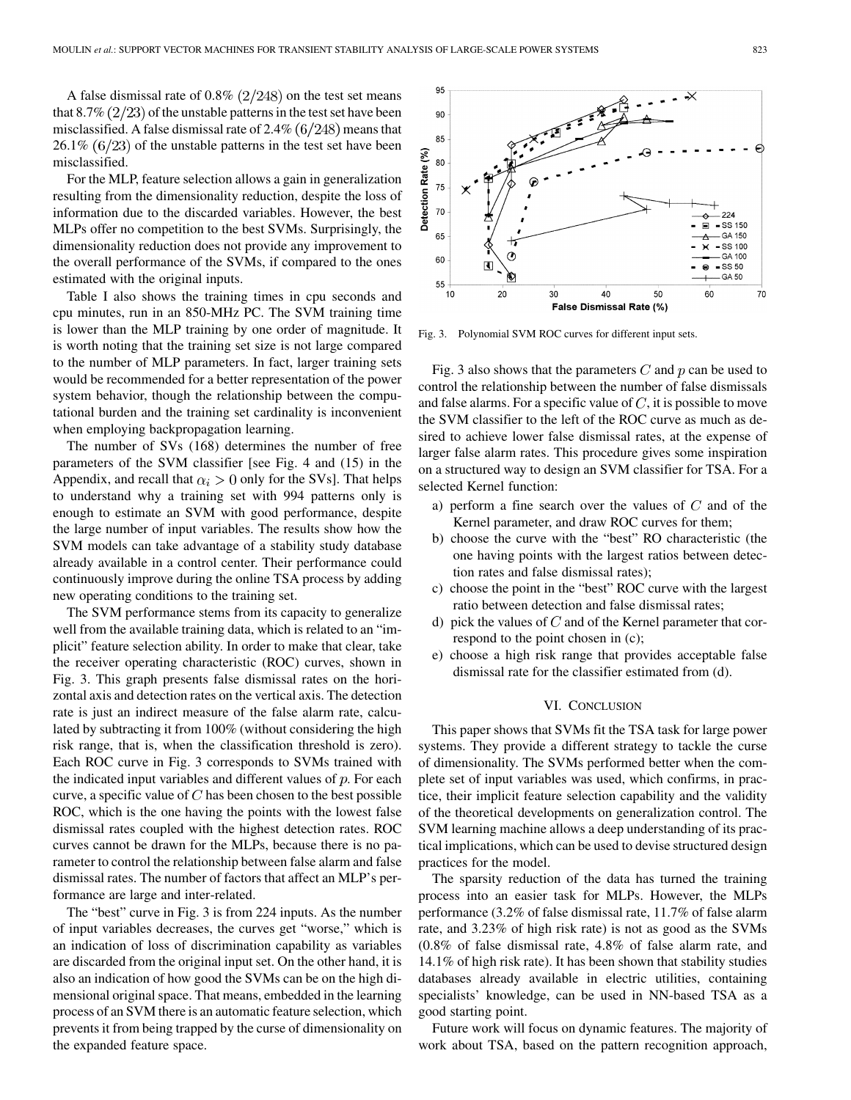A false dismissal rate of  $0.8\%$  (2/248) on the test set means that  $8.7\%$  ( $2/23$ ) of the unstable patterns in the test set have been misclassified. A false dismissal rate of  $2.4\%$  (6/248) means that  $26.1\%$  (6/23) of the unstable patterns in the test set have been misclassified.

For the MLP, feature selection allows a gain in generalization resulting from the dimensionality reduction, despite the loss of information due to the discarded variables. However, the best MLPs offer no competition to the best SVMs. Surprisingly, the dimensionality reduction does not provide any improvement to the overall performance of the SVMs, if compared to the ones estimated with the original inputs.

Table I also shows the training times in cpu seconds and cpu minutes, run in an 850-MHz PC. The SVM training time is lower than the MLP training by one order of magnitude. It is worth noting that the training set size is not large compared to the number of MLP parameters. In fact, larger training sets would be recommended for a better representation of the power system behavior, though the relationship between the computational burden and the training set cardinality is inconvenient when employing backpropagation learning.

The number of SVs (168) determines the number of free parameters of the SVM classifier [see Fig. 4 and (15) in the Appendix, and recall that  $\alpha_i > 0$  only for the SVs]. That helps to understand why a training set with 994 patterns only is enough to estimate an SVM with good performance, despite the large number of input variables. The results show how the SVM models can take advantage of a stability study database already available in a control center. Their performance could continuously improve during the online TSA process by adding new operating conditions to the training set.

The SVM performance stems from its capacity to generalize well from the available training data, which is related to an "implicit" feature selection ability. In order to make that clear, take the receiver operating characteristic (ROC) curves, shown in Fig. 3. This graph presents false dismissal rates on the horizontal axis and detection rates on the vertical axis. The detection rate is just an indirect measure of the false alarm rate, calculated by subtracting it from 100% (without considering the high risk range, that is, when the classification threshold is zero). Each ROC curve in Fig. 3 corresponds to SVMs trained with the indicated input variables and different values of  $p$ . For each curve, a specific value of  $C$  has been chosen to the best possible ROC, which is the one having the points with the lowest false dismissal rates coupled with the highest detection rates. ROC curves cannot be drawn for the MLPs, because there is no parameter to control the relationship between false alarm and false dismissal rates. The number of factors that affect an MLP's performance are large and inter-related.

The "best" curve in Fig. 3 is from 224 inputs. As the number of input variables decreases, the curves get "worse," which is an indication of loss of discrimination capability as variables are discarded from the original input set. On the other hand, it is also an indication of how good the SVMs can be on the high dimensional original space. That means, embedded in the learning process of an SVM there is an automatic feature selection, which prevents it from being trapped by the curse of dimensionality on the expanded feature space.



Fig. 3. Polynomial SVM ROC curves for different input sets.

Fig. 3 also shows that the parameters  $C$  and  $p$  can be used to control the relationship between the number of false dismissals and false alarms. For a specific value of  $C$ , it is possible to move the SVM classifier to the left of the ROC curve as much as desired to achieve lower false dismissal rates, at the expense of larger false alarm rates. This procedure gives some inspiration on a structured way to design an SVM classifier for TSA. For a selected Kernel function:

- a) perform a fine search over the values of  $C$  and of the Kernel parameter, and draw ROC curves for them;
- b) choose the curve with the "best" RO characteristic (the one having points with the largest ratios between detection rates and false dismissal rates);
- c) choose the point in the "best" ROC curve with the largest ratio between detection and false dismissal rates;
- d) pick the values of  $C$  and of the Kernel parameter that correspond to the point chosen in (c);
- e) choose a high risk range that provides acceptable false dismissal rate for the classifier estimated from (d).

#### VI. CONCLUSION

This paper shows that SVMs fit the TSA task for large power systems. They provide a different strategy to tackle the curse of dimensionality. The SVMs performed better when the complete set of input variables was used, which confirms, in practice, their implicit feature selection capability and the validity of the theoretical developments on generalization control. The SVM learning machine allows a deep understanding of its practical implications, which can be used to devise structured design practices for the model.

The sparsity reduction of the data has turned the training process into an easier task for MLPs. However, the MLPs performance (3.2% of false dismissal rate, 11.7% of false alarm rate, and 3.23% of high risk rate) is not as good as the SVMs (0.8% of false dismissal rate, 4.8% of false alarm rate, and 14.1% of high risk rate). It has been shown that stability studies databases already available in electric utilities, containing specialists' knowledge, can be used in NN-based TSA as a good starting point.

Future work will focus on dynamic features. The majority of work about TSA, based on the pattern recognition approach,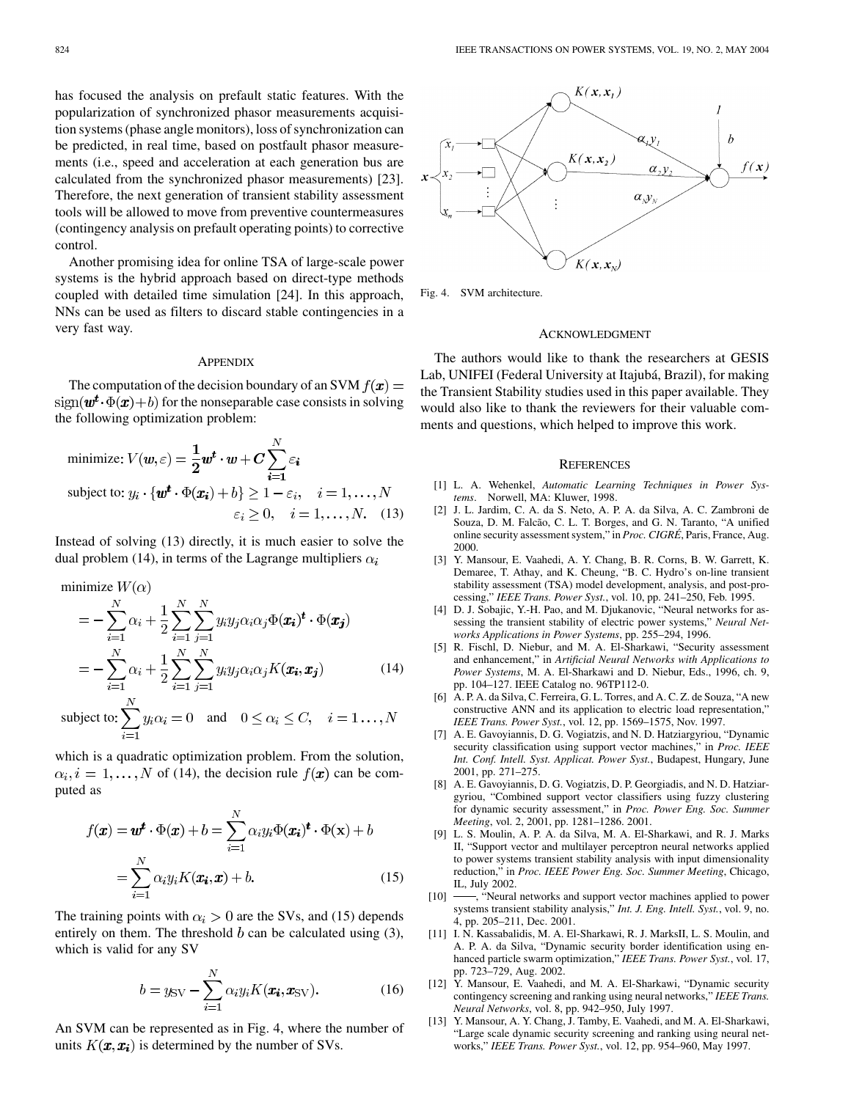<span id="page-6-0"></span>has focused the analysis on prefault static features. With the popularization of synchronized phasor measurements acquisition systems (phase angle monitors), loss of synchronization can be predicted, in real time, based on postfault phasor measurements (i.e., speed and acceleration at each generation bus are calculated from the synchronized phasor measurements) [[23\]](#page-7-0). Therefore, the next generation of transient stability assessment tools will be allowed to move from preventive countermeasures (contingency analysis on prefault operating points) to corrective control.

Another promising idea for online TSA of large-scale power systems is the hybrid approach based on direct-type methods coupled with detailed time simulation [\[24\]](#page-7-0). In this approach, NNs can be used as filters to discard stable contingencies in a very fast way.

#### **APPENDIX**

The computation of the decision boundary of an SVM  $f(\mathbf{x}) =$  $sign(\mathbf{w}^t \cdot \Phi(\mathbf{x}) + b)$  for the nonseparable case consists in solving the following optimization problem:

minimize: 
$$
V(\mathbf{w}, \varepsilon) = \frac{1}{2} \mathbf{w}^t \cdot \mathbf{w} + C \sum_{i=1}^N \varepsilon_i
$$
  
\nsubject to:  $y_i \cdot {\mathbf{w}^t \cdot \Phi(\mathbf{x}_i) + b} \ge 1 - \varepsilon_i, \quad i = 1, ..., N$   
\n $\varepsilon_i \ge 0, \quad i = 1, ..., N.$  (13)

Instead of solving (13) directly, it is much easier to solve the dual problem (14), in terms of the Lagrange multipliers  $\alpha_i$ 

$$
\text{minimize } W(\alpha)
$$

$$
= -\sum_{i=1}^{N} \alpha_i + \frac{1}{2} \sum_{i=1}^{N} \sum_{j=1}^{N} y_i y_j \alpha_i \alpha_j \Phi(\boldsymbol{x_i})^t \cdot \Phi(\boldsymbol{x_j})
$$
  

$$
= -\sum_{i=1}^{N} \alpha_i + \frac{1}{2} \sum_{i=1}^{N} \sum_{j=1}^{N} y_i y_j \alpha_i \alpha_j K(\boldsymbol{x_i}, \boldsymbol{x_j})
$$
(14)

subject to: 
$$
\sum_{i=1} y_i \alpha_i = 0 \text{ and } 0 \le \alpha_i \le C, \quad i = 1..., N
$$

which is a quadratic optimization problem. From the solution,  $\alpha_i, i = 1, \ldots, N$  of (14), the decision rule  $f(\mathbf{x})$  can be computed as

$$
f(\mathbf{x}) = \mathbf{w}^t \cdot \Phi(\mathbf{x}) + b = \sum_{i=1}^N \alpha_i y_i \Phi(\mathbf{x_i})^t \cdot \Phi(\mathbf{x}) + b
$$

$$
= \sum_{i=1}^N \alpha_i y_i K(\mathbf{x_i}, \mathbf{x}) + b.
$$
(15)

The training points with  $\alpha_i > 0$  are the SVs, and (15) depends entirely on them. The threshold  $b$  can be calculated using  $(3)$ , which is valid for any SV

$$
b = y_{\text{SV}} - \sum_{i=1}^{N} \alpha_i y_i K(\pmb{x_i}, \pmb{x_{\text{SV}}}).
$$
 (16)

An SVM can be represented as in Fig. 4, where the number of units  $K(\mathbf{x}, \mathbf{x_i})$  is determined by the number of SVs.



Fig. 4. SVM architecture.

## ACKNOWLEDGMENT

The authors would like to thank the researchers at GESIS Lab, UNIFEI (Federal University at Itajubá, Brazil), for making the Transient Stability studies used in this paper available. They would also like to thank the reviewers for their valuable comments and questions, which helped to improve this work.

## **REFERENCES**

- [1] L. A. Wehenkel, *Automatic Learning Techniques in Power Systems*. Norwell, MA: Kluwer, 1998.
- [2] J. L. Jardim, C. A. da S. Neto, A. P. A. da Silva, A. C. Zambroni de Souza, D. M. Falcão, C. L. T. Borges, and G. N. Taranto, "A unified online security assessment system," in *Proc. CIGRÉ*, Paris, France, Aug. 2000.
- [3] Y. Mansour, E. Vaahedi, A. Y. Chang, B. R. Corns, B. W. Garrett, K. Demaree, T. Athay, and K. Cheung, "B. C. Hydro's on-line transient stability assessment (TSA) model development, analysis, and post-processing," *IEEE Trans. Power Syst.*, vol. 10, pp. 241–250, Feb. 1995.
- [4] D. J. Sobajic, Y.-H. Pao, and M. Djukanovic, "Neural networks for assessing the transient stability of electric power systems," *Neural Networks Applications in Power Systems*, pp. 255–294, 1996.
- [5] R. Fischl, D. Niebur, and M. A. El-Sharkawi, "Security assessment and enhancement," in *Artificial Neural Networks with Applications to Power Systems*, M. A. El-Sharkawi and D. Niebur, Eds., 1996, ch. 9, pp. 104–127. IEEE Catalog no. 96TP112-0.
- [6] A. P. A. da Silva, C. Ferreira, G. L. Torres, and A. C. Z. de Souza, "A new constructive ANN and its application to electric load representation," *IEEE Trans. Power Syst.*, vol. 12, pp. 1569–1575, Nov. 1997.
- [7] A. E. Gavoyiannis, D. G. Vogiatzis, and N. D. Hatziargyriou, "Dynamic security classification using support vector machines," in *Proc. IEEE Int. Conf. Intell. Syst. Applicat. Power Syst.*, Budapest, Hungary, June 2001, pp. 271–275.
- [8] A. E. Gavoyiannis, D. G. Vogiatzis, D. P. Georgiadis, and N. D. Hatziargyriou, "Combined support vector classifiers using fuzzy clustering for dynamic security assessment," in *Proc. Power Eng. Soc. Summer Meeting*, vol. 2, 2001, pp. 1281–1286. 2001.
- [9] L. S. Moulin, A. P. A. da Silva, M. A. El-Sharkawi, and R. J. Marks II, "Support vector and multilayer perceptron neural networks applied to power systems transient stability analysis with input dimensionality reduction," in *Proc. IEEE Power Eng. Soc. Summer Meeting*, Chicago, IL, July 2002.
- [10]  $\frac{100}{100}$ , "Neural networks and support vector machines applied to power systems transient stability analysis," *Int. J. Eng. Intell. Syst.*, vol. 9, no. 4, pp. 205–211, Dec. 2001.
- [11] I. N. Kassabalidis, M. A. El-Sharkawi, R. J. MarksII, L. S. Moulin, and A. P. A. da Silva, "Dynamic security border identification using enhanced particle swarm optimization," *IEEE Trans. Power Syst.*, vol. 17, pp. 723–729, Aug. 2002.
- [12] Y. Mansour, E. Vaahedi, and M. A. El-Sharkawi, "Dynamic security contingency screening and ranking using neural networks," *IEEE Trans. Neural Networks*, vol. 8, pp. 942–950, July 1997.
- [13] Y. Mansour, A. Y. Chang, J. Tamby, E. Vaahedi, and M. A. El-Sharkawi, "Large scale dynamic security screening and ranking using neural networks," *IEEE Trans. Power Syst.*, vol. 12, pp. 954–960, May 1997.